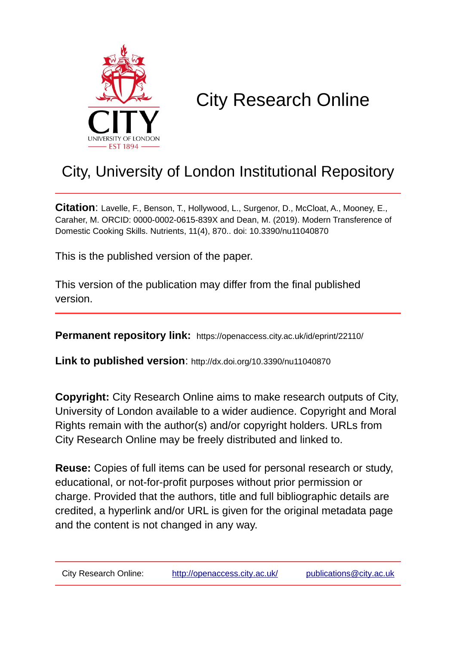

# City Research Online

## City, University of London Institutional Repository

**Citation**: Lavelle, F., Benson, T., Hollywood, L., Surgenor, D., McCloat, A., Mooney, E., Caraher, M. ORCID: 0000-0002-0615-839X and Dean, M. (2019). Modern Transference of Domestic Cooking Skills. Nutrients, 11(4), 870.. doi: 10.3390/nu11040870

This is the published version of the paper.

This version of the publication may differ from the final published version.

**Permanent repository link:** https://openaccess.city.ac.uk/id/eprint/22110/

**Link to published version**: http://dx.doi.org/10.3390/nu11040870

**Copyright:** City Research Online aims to make research outputs of City, University of London available to a wider audience. Copyright and Moral Rights remain with the author(s) and/or copyright holders. URLs from City Research Online may be freely distributed and linked to.

**Reuse:** Copies of full items can be used for personal research or study, educational, or not-for-profit purposes without prior permission or charge. Provided that the authors, title and full bibliographic details are credited, a hyperlink and/or URL is given for the original metadata page and the content is not changed in any way.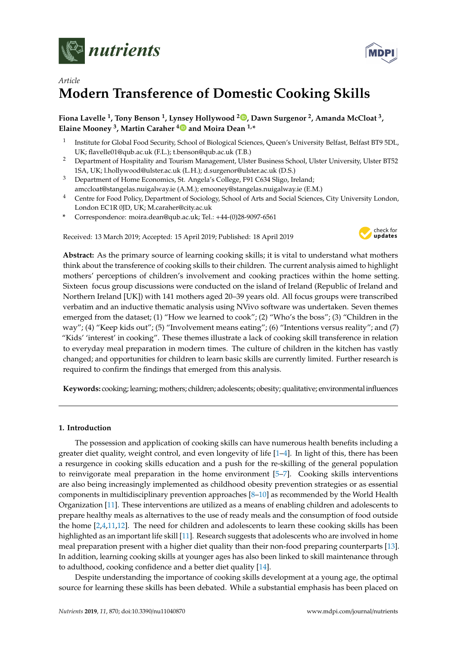



### *Article* **Modern Transference of Domestic Cooking Skills**

#### **Fiona Lavelle <sup>1</sup> , Tony Benson <sup>1</sup> , Lynsey Hollywood <sup>2</sup> [,](https://orcid.org/0000-0003-3918-6255) Dawn Surgenor <sup>2</sup> , Amanda McCloat <sup>3</sup> , Elaine Mooney <sup>3</sup> , Martin Caraher [4](https://orcid.org/0000-0002-0615-839X) and Moira Dean 1,\***

- 1 Institute for Global Food Security, School of Biological Sciences, Queen's University Belfast, Belfast BT9 5DL, UK; flavelle01@qub.ac.uk (F.L.); t.benson@qub.ac.uk (T.B.)
- <sup>2</sup> Department of Hospitality and Tourism Management, Ulster Business School, Ulster University, Ulster BT52 1SA, UK; l.hollywood@ulster.ac.uk (L.H.); d.surgenor@ulster.ac.uk (D.S.)
- <sup>3</sup> Department of Home Economics, St. Angela's College, F91 C634 Sligo, Ireland; amccloat@stangelas.nuigalway.ie (A.M.); emooney@stangelas.nuigalway.ie (E.M.)
- <sup>4</sup> Centre for Food Policy, Department of Sociology, School of Arts and Social Sciences, City University London, London EC1R 0JD, UK; M.caraher@city.ac.uk
- **\*** Correspondence: moira.dean@qub.ac.uk; Tel.: +44-(0)28-9097-6561

Received: 13 March 2019; Accepted: 15 April 2019; Published: 18 April 2019



**Abstract:** As the primary source of learning cooking skills; it is vital to understand what mothers think about the transference of cooking skills to their children. The current analysis aimed to highlight mothers' perceptions of children's involvement and cooking practices within the home setting. Sixteen focus group discussions were conducted on the island of Ireland (Republic of Ireland and Northern Ireland [UK]) with 141 mothers aged 20–39 years old. All focus groups were transcribed verbatim and an inductive thematic analysis using NVivo software was undertaken. Seven themes emerged from the dataset; (1) "How we learned to cook"; (2) "Who's the boss"; (3) "Children in the way"; (4) "Keep kids out"; (5) "Involvement means eating"; (6) "Intentions versus reality"; and (7) "Kids' 'interest' in cooking". These themes illustrate a lack of cooking skill transference in relation to everyday meal preparation in modern times. The culture of children in the kitchen has vastly changed; and opportunities for children to learn basic skills are currently limited. Further research is required to confirm the findings that emerged from this analysis.

**Keywords:** cooking; learning; mothers; children; adolescents; obesity; qualitative; environmentalinfluences

#### **1. Introduction**

The possession and application of cooking skills can have numerous health benefits including a greater diet quality, weight control, and even longevity of life [\[1](#page-11-0)[–4\]](#page-11-1). In light of this, there has been a resurgence in cooking skills education and a push for the re-skilling of the general population to reinvigorate meal preparation in the home environment [\[5–](#page-11-2)[7\]](#page-12-0). Cooking skills interventions are also being increasingly implemented as childhood obesity prevention strategies or as essential components in multidisciplinary prevention approaches [\[8](#page-12-1)[–10\]](#page-12-2) as recommended by the World Health Organization [\[11\]](#page-12-3). These interventions are utilized as a means of enabling children and adolescents to prepare healthy meals as alternatives to the use of ready meals and the consumption of food outside the home  $[2,4,11,12]$  $[2,4,11,12]$  $[2,4,11,12]$  $[2,4,11,12]$ . The need for children and adolescents to learn these cooking skills has been highlighted as an important life skill [\[11\]](#page-12-3). Research suggests that adolescents who are involved in home meal preparation present with a higher diet quality than their non-food preparing counterparts [\[13\]](#page-12-5). In addition, learning cooking skills at younger ages has also been linked to skill maintenance through to adulthood, cooking confidence and a better diet quality [\[14\]](#page-12-6).

Despite understanding the importance of cooking skills development at a young age, the optimal source for learning these skills has been debated. While a substantial emphasis has been placed on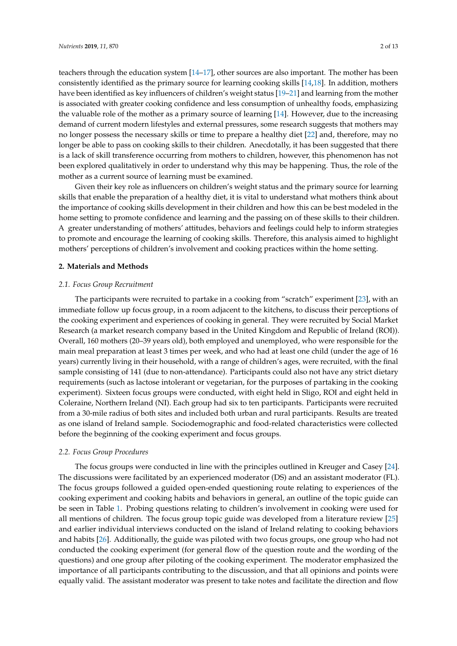teachers through the education system [\[14–](#page-12-6)[17\]](#page-12-7), other sources are also important. The mother has been consistently identified as the primary source for learning cooking skills [\[14,](#page-12-6)[18\]](#page-12-8). In addition, mothers have been identified as key influencers of children's weight status [\[19](#page-12-9)[–21\]](#page-12-10) and learning from the mother is associated with greater cooking confidence and less consumption of unhealthy foods, emphasizing the valuable role of the mother as a primary source of learning [\[14\]](#page-12-6). However, due to the increasing demand of current modern lifestyles and external pressures, some research suggests that mothers may no longer possess the necessary skills or time to prepare a healthy diet [\[22\]](#page-12-11) and, therefore, may no longer be able to pass on cooking skills to their children. Anecdotally, it has been suggested that there is a lack of skill transference occurring from mothers to children, however, this phenomenon has not been explored qualitatively in order to understand why this may be happening. Thus, the role of the mother as a current source of learning must be examined.

Given their key role as influencers on children's weight status and the primary source for learning skills that enable the preparation of a healthy diet, it is vital to understand what mothers think about the importance of cooking skills development in their children and how this can be best modeled in the home setting to promote confidence and learning and the passing on of these skills to their children. A greater understanding of mothers' attitudes, behaviors and feelings could help to inform strategies to promote and encourage the learning of cooking skills. Therefore, this analysis aimed to highlight mothers' perceptions of children's involvement and cooking practices within the home setting.

#### **2. Materials and Methods**

#### *2.1. Focus Group Recruitment*

The participants were recruited to partake in a cooking from "scratch" experiment [\[23\]](#page-12-12), with an immediate follow up focus group, in a room adjacent to the kitchens, to discuss their perceptions of the cooking experiment and experiences of cooking in general. They were recruited by Social Market Research (a market research company based in the United Kingdom and Republic of Ireland (ROI)). Overall, 160 mothers (20–39 years old), both employed and unemployed, who were responsible for the main meal preparation at least 3 times per week, and who had at least one child (under the age of 16 years) currently living in their household, with a range of children's ages, were recruited, with the final sample consisting of 141 (due to non-attendance). Participants could also not have any strict dietary requirements (such as lactose intolerant or vegetarian, for the purposes of partaking in the cooking experiment). Sixteen focus groups were conducted, with eight held in Sligo, ROI and eight held in Coleraine, Northern Ireland (NI). Each group had six to ten participants. Participants were recruited from a 30-mile radius of both sites and included both urban and rural participants. Results are treated as one island of Ireland sample. Sociodemographic and food-related characteristics were collected before the beginning of the cooking experiment and focus groups.

#### *2.2. Focus Group Procedures*

The focus groups were conducted in line with the principles outlined in Kreuger and Casey [\[24\]](#page-12-13). The discussions were facilitated by an experienced moderator (DS) and an assistant moderator (FL). The focus groups followed a guided open-ended questioning route relating to experiences of the cooking experiment and cooking habits and behaviors in general, an outline of the topic guide can be seen in Table [1.](#page-3-0) Probing questions relating to children's involvement in cooking were used for all mentions of children. The focus group topic guide was developed from a literature review [\[25\]](#page-12-14) and earlier individual interviews conducted on the island of Ireland relating to cooking behaviors and habits [\[26\]](#page-13-0). Additionally, the guide was piloted with two focus groups, one group who had not conducted the cooking experiment (for general flow of the question route and the wording of the questions) and one group after piloting of the cooking experiment. The moderator emphasized the importance of all participants contributing to the discussion, and that all opinions and points were equally valid. The assistant moderator was present to take notes and facilitate the direction and flow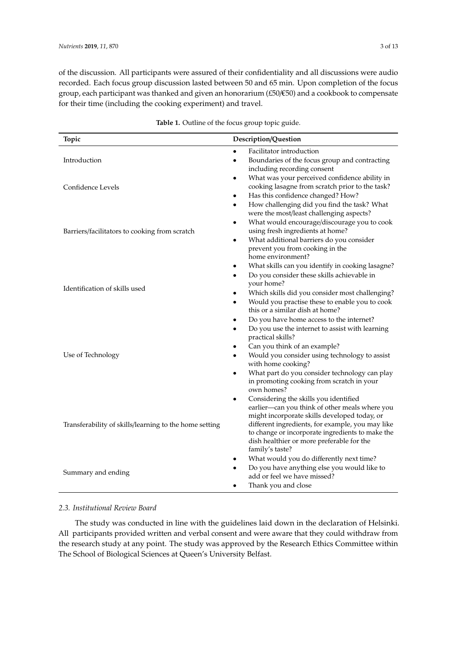of the discussion. All participants were assured of their confidentiality and all discussions were audio recorded. Each focus group discussion lasted between 50 and 65 min. Upon completion of the focus group, each participant was thanked and given an honorarium (£50/€50) and a cookbook to compensate for their time (including the cooking experiment) and travel.

<span id="page-3-0"></span>

| Topic                                                  | Description/Question                                                                                                                                                                                                                                                                                                               |
|--------------------------------------------------------|------------------------------------------------------------------------------------------------------------------------------------------------------------------------------------------------------------------------------------------------------------------------------------------------------------------------------------|
|                                                        | Facilitator introduction<br>$\bullet$                                                                                                                                                                                                                                                                                              |
| Introduction                                           | Boundaries of the focus group and contracting<br>$\bullet$<br>including recording consent                                                                                                                                                                                                                                          |
| Confidence Levels                                      | What was your perceived confidence ability in<br>cooking lasagne from scratch prior to the task?<br>Has this confidence changed? How?<br>٠<br>How challenging did you find the task? What<br>$\bullet$                                                                                                                             |
| Barriers/facilitators to cooking from scratch          | were the most/least challenging aspects?<br>What would encourage/discourage you to cook<br>٠<br>using fresh ingredients at home?<br>What additional barriers do you consider<br>$\bullet$<br>prevent you from cooking in the                                                                                                       |
| Identification of skills used                          | home environment?<br>What skills can you identify in cooking lasagne?<br>٠<br>Do you consider these skills achievable in<br>$\bullet$<br>your home?<br>Which skills did you consider most challenging?<br>Would you practise these to enable you to cook<br>$\bullet$<br>this or a similar dish at home?                           |
| Use of Technology                                      | Do you have home access to the internet?<br>Do you use the internet to assist with learning<br>practical skills?<br>Can you think of an example?<br>Would you consider using technology to assist<br>with home cooking?<br>What part do you consider technology can play<br>$\bullet$<br>in promoting cooking from scratch in your |
| Transferability of skills/learning to the home setting | own homes?<br>Considering the skills you identified<br>earlier-can you think of other meals where you<br>might incorporate skills developed today, or<br>different ingredients, for example, you may like<br>to change or incorporate ingredients to make the<br>dish healthier or more preferable for the<br>family's taste?      |
| Summary and ending                                     | What would you do differently next time?<br>Do you have anything else you would like to<br>add or feel we have missed?<br>Thank you and close                                                                                                                                                                                      |

|  | Table 1. Outline of the focus group topic guide. |  |  |  |  |
|--|--------------------------------------------------|--|--|--|--|
|--|--------------------------------------------------|--|--|--|--|

#### *2.3. Institutional Review Board*

The study was conducted in line with the guidelines laid down in the declaration of Helsinki. All participants provided written and verbal consent and were aware that they could withdraw from the research study at any point. The study was approved by the Research Ethics Committee within The School of Biological Sciences at Queen's University Belfast.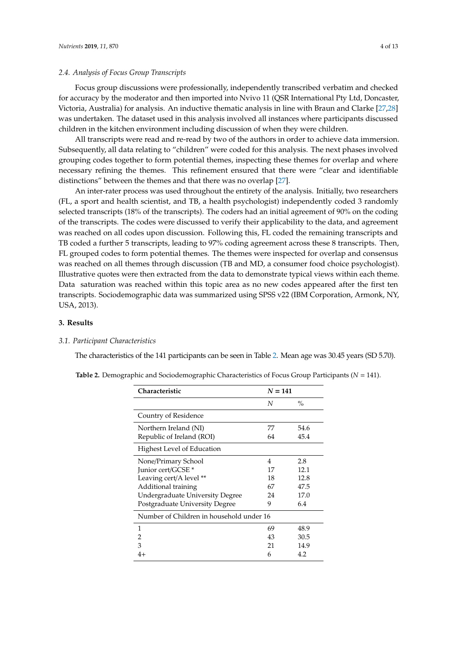#### *2.4. Analysis of Focus Group Transcripts*

Focus group discussions were professionally, independently transcribed verbatim and checked for accuracy by the moderator and then imported into Nvivo 11 (QSR International Pty Ltd, Doncaster, Victoria, Australia) for analysis. An inductive thematic analysis in line with Braun and Clarke [\[27](#page-13-1)[,28\]](#page-13-2) was undertaken. The dataset used in this analysis involved all instances where participants discussed children in the kitchen environment including discussion of when they were children.

All transcripts were read and re-read by two of the authors in order to achieve data immersion. Subsequently, all data relating to "children" were coded for this analysis. The next phases involved grouping codes together to form potential themes, inspecting these themes for overlap and where necessary refining the themes. This refinement ensured that there were "clear and identifiable distinctions" between the themes and that there was no overlap [\[27\]](#page-13-1).

An inter-rater process was used throughout the entirety of the analysis. Initially, two researchers (FL, a sport and health scientist, and TB, a health psychologist) independently coded 3 randomly selected transcripts (18% of the transcripts). The coders had an initial agreement of 90% on the coding of the transcripts. The codes were discussed to verify their applicability to the data, and agreement was reached on all codes upon discussion. Following this, FL coded the remaining transcripts and TB coded a further 5 transcripts, leading to 97% coding agreement across these 8 transcripts. Then, FL grouped codes to form potential themes. The themes were inspected for overlap and consensus was reached on all themes through discussion (TB and MD, a consumer food choice psychologist). Illustrative quotes were then extracted from the data to demonstrate typical views within each theme. Data saturation was reached within this topic area as no new codes appeared after the first ten transcripts. Sociodemographic data was summarized using SPSS v22 (IBM Corporation, Armonk, NY, USA, 2013).

#### **3. Results**

#### *3.1. Participant Characteristics*

The characteristics of the 141 participants can be seen in Table [2.](#page-5-0) Mean age was 30.45 years (SD 5.70).

|  |  | Table 2. Demographic and Sociodemographic Characteristics of Focus Group Participants ( $N = 141$ ). |
|--|--|------------------------------------------------------------------------------------------------------|
|  |  |                                                                                                      |

| Characteristic                           |    | $N = 141$     |  |  |  |
|------------------------------------------|----|---------------|--|--|--|
|                                          | N  | $\frac{0}{0}$ |  |  |  |
| Country of Residence                     |    |               |  |  |  |
| Northern Ireland (NI)                    | 77 | 54.6          |  |  |  |
| Republic of Ireland (ROI)                | 64 | 45.4          |  |  |  |
| Highest Level of Education               |    |               |  |  |  |
| None/Primary School                      | 4  | 2.8           |  |  |  |
| Junior cert/GCSE *                       | 17 | 12.1          |  |  |  |
| Leaving cert/A level **                  | 18 | 12.8          |  |  |  |
| Additional training                      | 67 | 47.5          |  |  |  |
| Undergraduate University Degree          | 24 | 17.0          |  |  |  |
| Postgraduate University Degree           | 9  | 6.4           |  |  |  |
| Number of Children in household under 16 |    |               |  |  |  |
| 1                                        | 69 | 48.9          |  |  |  |
| 2                                        | 43 | 30.5          |  |  |  |
| 3                                        | 21 | 14.9          |  |  |  |
| 4+                                       | 6  | 4.2           |  |  |  |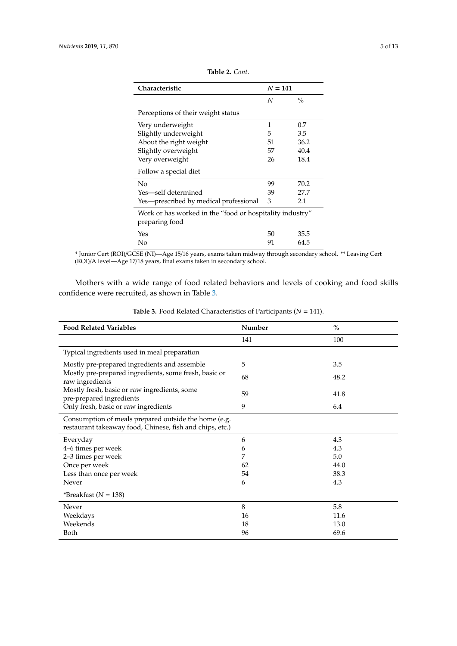<span id="page-5-0"></span>

| <b>Characteristic</b>                                                      | $N = 141$ |               |  |
|----------------------------------------------------------------------------|-----------|---------------|--|
|                                                                            | N         | $\frac{0}{0}$ |  |
| Perceptions of their weight status                                         |           |               |  |
| Very underweight                                                           | 1         | 0.7           |  |
| Slightly underweight                                                       | 5         | 3.5           |  |
| About the right weight                                                     | 51        | 36.2          |  |
| Slightly overweight                                                        | 57        | 40.4          |  |
| Very overweight                                                            | 26        | 18.4          |  |
| Follow a special diet                                                      |           |               |  |
| No                                                                         | 99        | 70.2          |  |
| Yes—self determined                                                        | 39        | 27.7          |  |
| Yes—prescribed by medical professional                                     | 3         | 2.1           |  |
| Work or has worked in the "food or hospitality industry"<br>preparing food |           |               |  |
| Yes                                                                        | 50        | 35.5          |  |
| No                                                                         | 91        | 64.5          |  |

| Table 2. Cont. |  |  |
|----------------|--|--|
|----------------|--|--|

\* Junior Cert (ROI)/GCSE (NI)—Age 15/16 years, exams taken midway through secondary school. \*\* Leaving Cert (ROI)/A level—Age 17/18 years, final exams taken in secondary school.

Mothers with a wide range of food related behaviors and levels of cooking and food skills confidence were recruited, as shown in Table [3.](#page-6-0)

| <b>Food Related Variables</b>                                                                                    | Number | $\%$ |  |  |
|------------------------------------------------------------------------------------------------------------------|--------|------|--|--|
|                                                                                                                  | 141    | 100  |  |  |
| Typical ingredients used in meal preparation                                                                     |        |      |  |  |
| Mostly pre-prepared ingredients and assemble                                                                     | 5      | 3.5  |  |  |
| Mostly pre-prepared ingredients, some fresh, basic or<br>raw ingredients                                         | 68     | 48.2 |  |  |
| Mostly fresh, basic or raw ingredients, some<br>pre-prepared ingredients                                         | 59     | 41.8 |  |  |
| Only fresh, basic or raw ingredients                                                                             | 9      | 6.4  |  |  |
| Consumption of meals prepared outside the home (e.g.<br>restaurant takeaway food, Chinese, fish and chips, etc.) |        |      |  |  |
| Everyday                                                                                                         | 6      | 4.3  |  |  |
| 4–6 times per week                                                                                               | 6      | 4.3  |  |  |
| 2-3 times per week                                                                                               | 7      | 5.0  |  |  |
| Once per week                                                                                                    | 62     | 44.0 |  |  |
| Less than once per week                                                                                          | 54     | 38.3 |  |  |
| Never                                                                                                            | 6      | 4.3  |  |  |
| *Breakfast ( $N = 138$ )                                                                                         |        |      |  |  |
| Never                                                                                                            | 8      | 5.8  |  |  |
| Weekdays                                                                                                         | 16     | 11.6 |  |  |
| Weekends                                                                                                         | 18     | 13.0 |  |  |
| Both                                                                                                             | 96     | 69.6 |  |  |

**Table 3.** Food Related Characteristics of Participants (*N* = 141).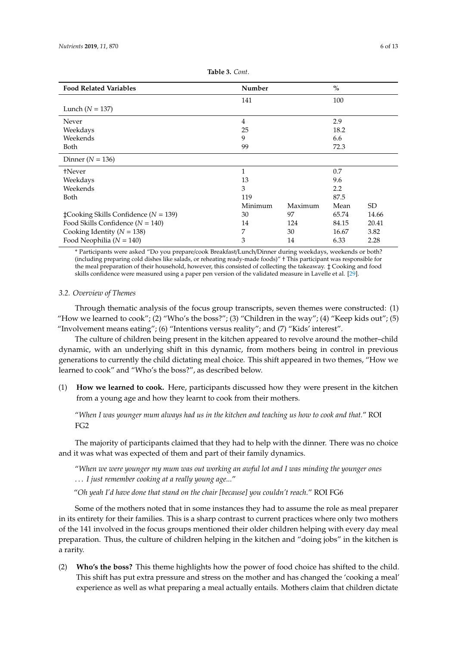<span id="page-6-0"></span>

| <b>Food Related Variables</b>                 | Number         |         | $\frac{0}{0}$ |       |
|-----------------------------------------------|----------------|---------|---------------|-------|
|                                               | 141            |         | 100           |       |
| Lunch $(N = 137)$                             |                |         |               |       |
| Never                                         | $\overline{4}$ |         | 2.9           |       |
| Weekdays                                      | 25             |         | 18.2          |       |
| Weekends                                      | 9              |         | 6.6           |       |
| Both                                          | 99             |         | 72.3          |       |
| Dinner ( $N = 136$ )                          |                |         |               |       |
| †Never                                        | $\mathbf{1}$   |         | 0.7           |       |
| Weekdays                                      | 13             |         | 9.6           |       |
| Weekends                                      | 3              |         | 2.2           |       |
| Both                                          | 119            |         | 87.5          |       |
|                                               | Minimum        | Maximum | Mean          | SD.   |
| $\pm$ Cooking Skills Confidence ( $N = 139$ ) | 30             | 97      | 65.74         | 14.66 |
| Food Skills Confidence $(N = 140)$            | 14             | 124     | 84.15         | 20.41 |
| Cooking Identity ( $N = 138$ )                | 7              | 30      | 16.67         | 3.82  |
| Food Neophilia ( $N = 140$ )                  | 3              | 14      | 6.33          | 2.28  |

**Table 3.** *Cont*.

\* Participants were asked "Do you prepare/cook Breakfast/Lunch/Dinner during weekdays, weekends or both? (including preparing cold dishes like salads, or reheating ready-made foods)" † This participant was responsible for the meal preparation of their household, however, this consisted of collecting the takeaway. ‡ Cooking and food skills confidence were measured using a paper pen version of the validated measure in Lavelle et al. [\[29\]](#page-13-3).

#### *3.2. Overview of Themes*

Through thematic analysis of the focus group transcripts, seven themes were constructed: (1) "How we learned to cook"; (2) "Who's the boss?"; (3) "Children in the way"; (4) "Keep kids out"; (5) "Involvement means eating"; (6) "Intentions versus reality"; and (7) "Kids' interest".

The culture of children being present in the kitchen appeared to revolve around the mother–child dynamic, with an underlying shift in this dynamic, from mothers being in control in previous generations to currently the child dictating meal choice. This shift appeared in two themes, "How we learned to cook" and "Who's the boss?", as described below.

(1) **How we learned to cook.** Here, participants discussed how they were present in the kitchen from a young age and how they learnt to cook from their mothers.

"*When I was younger mum always had us in the kitchen and teaching us how to cook and that.*" ROI FG2

The majority of participants claimed that they had to help with the dinner. There was no choice and it was what was expected of them and part of their family dynamics.

"*When we were younger my mum was out working an awful lot and I was minding the younger ones* . . . *I just remember cooking at a really young age...*"

"*Oh yeah I'd have done that stand on the chair [because] you couldn't reach.*" ROI FG6

Some of the mothers noted that in some instances they had to assume the role as meal preparer in its entirety for their families. This is a sharp contrast to current practices where only two mothers of the 141 involved in the focus groups mentioned their older children helping with every day meal preparation. Thus, the culture of children helping in the kitchen and "doing jobs" in the kitchen is a rarity.

(2) **Who's the boss?** This theme highlights how the power of food choice has shifted to the child. This shift has put extra pressure and stress on the mother and has changed the 'cooking a meal' experience as well as what preparing a meal actually entails. Mothers claim that children dictate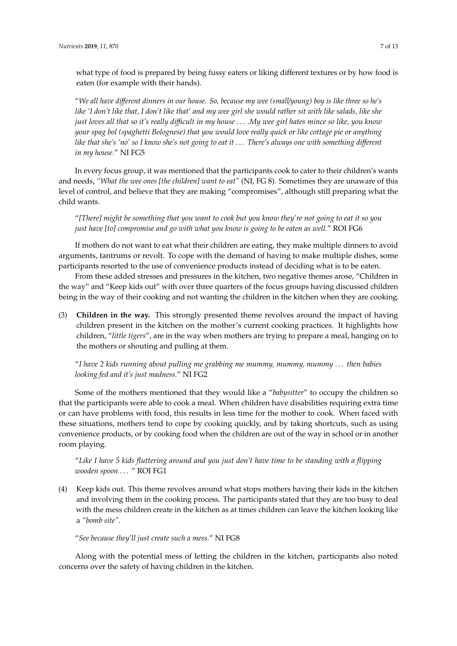what type of food is prepared by being fussy eaters or liking different textures or by how food is eaten (for example with their hands).

"*We all have di*ff*erent dinners in our house. So, because my wee (small*/*young) boy is like three so he's like 'I don't like that, I don't like that' and my wee girl she would rather sit with like salads, like she just loves all that so it's really di*ffi*cult in my house* . . . *.My wee girl hates mince so like, you know your spag bol (spaghetti Bolognese) that you would love really quick or like cottage pie or anything like that she's 'no' so I know she's not going to eat it* . . . *There's always one with something di*ff*erent in my house.*" NI FG5

In every focus group, it was mentioned that the participants cook to cater to their children's wants and needs, *"What the wee ones [the children] want to eat"* (NI, FG 8). Sometimes they are unaware of this level of control, and believe that they are making "compromises", although still preparing what the child wants.

"*[There] might be something that you want to cook but you know they're not going to eat it so you just have [to] compromise and go with what you know is going to be eaten as well.*" ROI FG6

If mothers do not want to eat what their children are eating, they make multiple dinners to avoid arguments, tantrums or revolt. To cope with the demand of having to make multiple dishes, some participants resorted to the use of convenience products instead of deciding what is to be eaten.

From these added stresses and pressures in the kitchen, two negative themes arose, "Children in the way" and "Keep kids out" with over three quarters of the focus groups having discussed children being in the way of their cooking and not wanting the children in the kitchen when they are cooking.

(3) **Children in the way.** This strongly presented theme revolves around the impact of having children present in the kitchen on the mother's current cooking practices. It highlights how children, "*little tigers*", are in the way when mothers are trying to prepare a meal, hanging on to the mothers or shouting and pulling at them.

"*I have 2 kids running about pulling me grabbing me mummy, mummy, mummy* . . . *then babies looking fed and it's just madness.*" NI FG2

Some of the mothers mentioned that they would like a "*babysitter*" to occupy the children so that the participants were able to cook a meal. When children have disabilities requiring extra time or can have problems with food, this results in less time for the mother to cook. When faced with these situations, mothers tend to cope by cooking quickly, and by taking shortcuts, such as using convenience products, or by cooking food when the children are out of the way in school or in another room playing.

"*Like I have 5 kids fluttering around and you just don't have time to be standing with a flipping wooden spoon* . . . " ROI FG1

(4) Keep kids out. This theme revolves around what stops mothers having their kids in the kitchen and involving them in the cooking process. The participants stated that they are too busy to deal with the mess children create in the kitchen as at times children can leave the kitchen looking like a *"bomb site".*

"*See because they'll just create such a mess.*" NI FG8

Along with the potential mess of letting the children in the kitchen, participants also noted concerns over the safety of having children in the kitchen.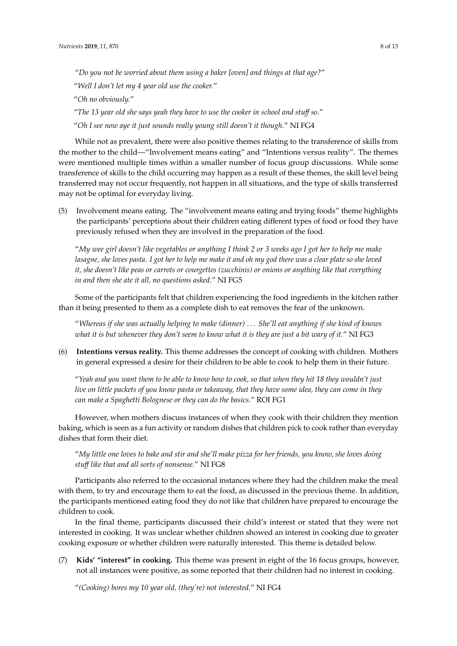"*Do you not be worried about them using a baker [oven] and things at that age?*"

"*Well I don't let my 4 year old use the cooker.*"

"*Oh no obviously.*"

"*The 13 year old she says yeah they have to use the cooker in school and stu*ff *so.*" "*Oh I see now aye it just sounds really young still doesn't it though.*" NI FG4

While not as prevalent, there were also positive themes relating to the transference of skills from the mother to the child—"Involvement means eating" and "Intentions versus reality". The themes were mentioned multiple times within a smaller number of focus group discussions. While some transference of skills to the child occurring may happen as a result of these themes, the skill level being transferred may not occur frequently, not happen in all situations, and the type of skills transferred may not be optimal for everyday living.

(5) Involvement means eating. The "involvement means eating and trying foods" theme highlights the participants' perceptions about their children eating different types of food or food they have previously refused when they are involved in the preparation of the food.

"*My wee girl doesn't like vegetables or anything I think 2 or 3 weeks ago I got her to help me make lasagne, she loves pasta. I got her to help me make it and oh my god there was a clear plate so she loved it, she doesn't like peas or carrots or courgettes (zucchinis) or onions or anything like that everything in and then she ate it all, no questions asked.*" NI FG5

Some of the participants felt that children experiencing the food ingredients in the kitchen rather than it being presented to them as a complete dish to eat removes the fear of the unknown.

"*Whereas if she was actually helping to make (dinner)* . . . *She'll eat anything if she kind of knows what it is but whenever they don't seem to know what it is they are just a bit wary of it.*" NI FG3

(6) **Intentions versus reality.** This theme addresses the concept of cooking with children. Mothers in general expressed a desire for their children to be able to cook to help them in their future.

"*Yeah and you want them to be able to know how to cook, so that when they hit 18 they wouldn't just live on little packets of you know pasta or takeaway, that they have some idea, they can come in they can make a Spaghetti Bolognese or they can do the basics.*" ROI FG1

However, when mothers discuss instances of when they cook with their children they mention baking, which is seen as a fun activity or random dishes that children pick to cook rather than everyday dishes that form their diet.

"*My little one loves to bake and stir and she'll make pizza for her friends, you know, she loves doing stu*ff *like that and all sorts of nonsense.*" NI FG8

Participants also referred to the occasional instances where they had the children make the meal with them, to try and encourage them to eat the food, as discussed in the previous theme. In addition, the participants mentioned eating food they do not like that children have prepared to encourage the children to cook.

In the final theme, participants discussed their child's interest or stated that they were not interested in cooking. It was unclear whether children showed an interest in cooking due to greater cooking exposure or whether children were naturally interested. This theme is detailed below.

(7) **Kids' "interest" in cooking.** This theme was present in eight of the 16 focus groups, however, not all instances were positive, as some reported that their children had no interest in cooking.

"*(Cooking) bores my 10 year old, (they're) not interested.*" NI FG4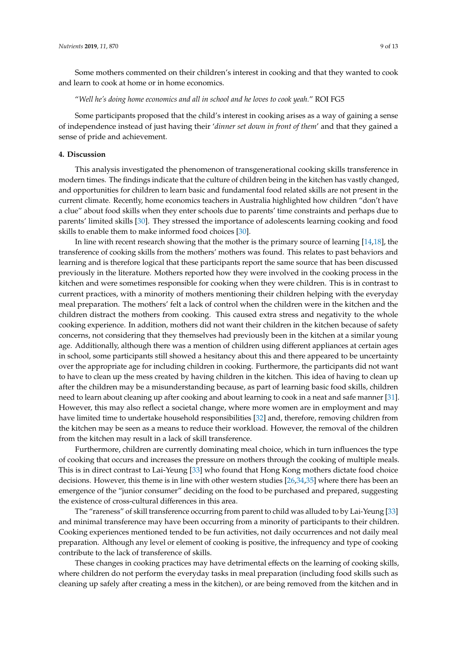Some mothers commented on their children's interest in cooking and that they wanted to cook and learn to cook at home or in home economics.

"*Well he's doing home economics and all in school and he loves to cook yeah.*" ROI FG5

Some participants proposed that the child's interest in cooking arises as a way of gaining a sense of independence instead of just having their '*dinner set down in front of them*' and that they gained a sense of pride and achievement.

#### **4. Discussion**

This analysis investigated the phenomenon of transgenerational cooking skills transference in modern times. The findings indicate that the culture of children being in the kitchen has vastly changed, and opportunities for children to learn basic and fundamental food related skills are not present in the current climate. Recently, home economics teachers in Australia highlighted how children "don't have a clue" about food skills when they enter schools due to parents' time constraints and perhaps due to parents' limited skills [\[30\]](#page-13-4). They stressed the importance of adolescents learning cooking and food skills to enable them to make informed food choices [\[30\]](#page-13-4).

In line with recent research showing that the mother is the primary source of learning [\[14](#page-12-6)[,18\]](#page-12-8), the transference of cooking skills from the mothers' mothers was found. This relates to past behaviors and learning and is therefore logical that these participants report the same source that has been discussed previously in the literature. Mothers reported how they were involved in the cooking process in the kitchen and were sometimes responsible for cooking when they were children. This is in contrast to current practices, with a minority of mothers mentioning their children helping with the everyday meal preparation. The mothers' felt a lack of control when the children were in the kitchen and the children distract the mothers from cooking. This caused extra stress and negativity to the whole cooking experience. In addition, mothers did not want their children in the kitchen because of safety concerns, not considering that they themselves had previously been in the kitchen at a similar young age. Additionally, although there was a mention of children using different appliances at certain ages in school, some participants still showed a hesitancy about this and there appeared to be uncertainty over the appropriate age for including children in cooking. Furthermore, the participants did not want to have to clean up the mess created by having children in the kitchen. This idea of having to clean up after the children may be a misunderstanding because, as part of learning basic food skills, children need to learn about cleaning up after cooking and about learning to cook in a neat and safe manner [\[31\]](#page-13-5). However, this may also reflect a societal change, where more women are in employment and may have limited time to undertake household responsibilities [\[32\]](#page-13-6) and, therefore, removing children from the kitchen may be seen as a means to reduce their workload. However, the removal of the children from the kitchen may result in a lack of skill transference.

Furthermore, children are currently dominating meal choice, which in turn influences the type of cooking that occurs and increases the pressure on mothers through the cooking of multiple meals. This is in direct contrast to Lai-Yeung [\[33\]](#page-13-7) who found that Hong Kong mothers dictate food choice decisions. However, this theme is in line with other western studies [\[26](#page-13-0)[,34](#page-13-8)[,35\]](#page-13-9) where there has been an emergence of the "junior consumer" deciding on the food to be purchased and prepared, suggesting the existence of cross-cultural differences in this area.

The "rareness" of skill transference occurring from parent to child was alluded to by Lai-Yeung [\[33\]](#page-13-7) and minimal transference may have been occurring from a minority of participants to their children. Cooking experiences mentioned tended to be fun activities, not daily occurrences and not daily meal preparation. Although any level or element of cooking is positive, the infrequency and type of cooking contribute to the lack of transference of skills.

These changes in cooking practices may have detrimental effects on the learning of cooking skills, where children do not perform the everyday tasks in meal preparation (including food skills such as cleaning up safely after creating a mess in the kitchen), or are being removed from the kitchen and in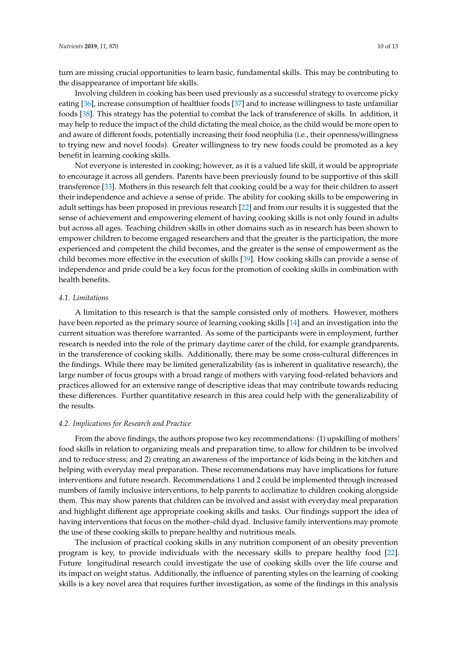turn are missing crucial opportunities to learn basic, fundamental skills. This may be contributing to the disappearance of important life skills.

Involving children in cooking has been used previously as a successful strategy to overcome picky eating [\[36\]](#page-13-10), increase consumption of healthier foods [\[37\]](#page-13-11) and to increase willingness to taste unfamiliar foods [\[38\]](#page-13-12). This strategy has the potential to combat the lack of transference of skills. In addition, it may help to reduce the impact of the child dictating the meal choice, as the child would be more open to and aware of different foods, potentially increasing their food neophilia (i.e., their openness/willingness to trying new and novel foods). Greater willingness to try new foods could be promoted as a key benefit in learning cooking skills.

Not everyone is interested in cooking; however, as it is a valued life skill, it would be appropriate to encourage it across all genders. Parents have been previously found to be supportive of this skill transference [\[33\]](#page-13-7). Mothers in this research felt that cooking could be a way for their children to assert their independence and achieve a sense of pride. The ability for cooking skills to be empowering in adult settings has been proposed in previous research [\[22\]](#page-12-11) and from our results it is suggested that the sense of achievement and empowering element of having cooking skills is not only found in adults but across all ages. Teaching children skills in other domains such as in research has been shown to empower children to become engaged researchers and that the greater is the participation, the more experienced and competent the child becomes, and the greater is the sense of empowerment as the child becomes more effective in the execution of skills [\[39\]](#page-13-13). How cooking skills can provide a sense of independence and pride could be a key focus for the promotion of cooking skills in combination with health benefits.

#### *4.1. Limitations*

A limitation to this research is that the sample consisted only of mothers. However, mothers have been reported as the primary source of learning cooking skills [\[14\]](#page-12-6) and an investigation into the current situation was therefore warranted. As some of the participants were in employment, further research is needed into the role of the primary daytime carer of the child, for example grandparents, in the transference of cooking skills. Additionally, there may be some cross-cultural differences in the findings. While there may be limited generalizability (as is inherent in qualitative research), the large number of focus groups with a broad range of mothers with varying food-related behaviors and practices allowed for an extensive range of descriptive ideas that may contribute towards reducing these differences. Further quantitative research in this area could help with the generalizability of the results.

#### *4.2. Implications for Research and Practice*

From the above findings, the authors propose two key recommendations: (1) upskilling of mothers' food skills in relation to organizing meals and preparation time, to allow for children to be involved and to reduce stress; and 2) creating an awareness of the importance of kids being in the kitchen and helping with everyday meal preparation. These recommendations may have implications for future interventions and future research. Recommendations 1 and 2 could be implemented through increased numbers of family inclusive interventions, to help parents to acclimatize to children cooking alongside them. This may show parents that children can be involved and assist with everyday meal preparation and highlight different age appropriate cooking skills and tasks. Our findings support the idea of having interventions that focus on the mother–child dyad. Inclusive family interventions may promote the use of these cooking skills to prepare healthy and nutritious meals.

The inclusion of practical cooking skills in any nutrition component of an obesity prevention program is key, to provide individuals with the necessary skills to prepare healthy food [\[22\]](#page-12-11). Future longitudinal research could investigate the use of cooking skills over the life course and its impact on weight status. Additionally, the influence of parenting styles on the learning of cooking skills is a key novel area that requires further investigation, as some of the findings in this analysis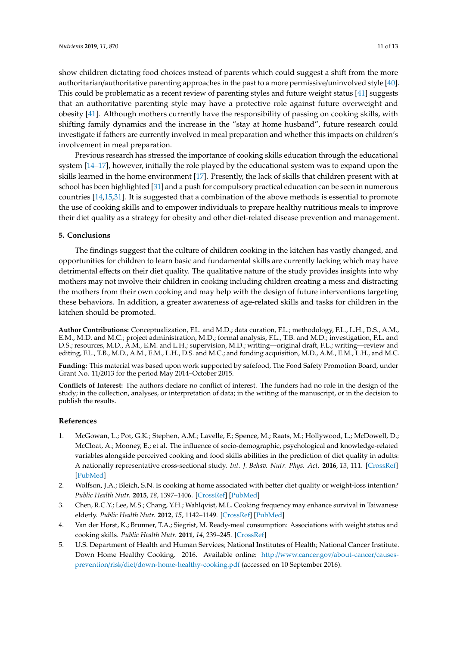show children dictating food choices instead of parents which could suggest a shift from the more authoritarian/authoritative parenting approaches in the past to a more permissive/uninvolved style [\[40\]](#page-13-14). This could be problematic as a recent review of parenting styles and future weight status [\[41\]](#page-13-15) suggests that an authoritative parenting style may have a protective role against future overweight and obesity [\[41\]](#page-13-15). Although mothers currently have the responsibility of passing on cooking skills, with shifting family dynamics and the increase in the "stay at home husband", future research could investigate if fathers are currently involved in meal preparation and whether this impacts on children's involvement in meal preparation.

Previous research has stressed the importance of cooking skills education through the educational system [\[14](#page-12-6)[–17\]](#page-12-7), however, initially the role played by the educational system was to expand upon the skills learned in the home environment [\[17\]](#page-12-7). Presently, the lack of skills that children present with at school has been highlighted [\[31\]](#page-13-5) and a push for compulsory practical education can be seen in numerous countries [\[14,](#page-12-6)[15,](#page-12-15)[31\]](#page-13-5). It is suggested that a combination of the above methods is essential to promote the use of cooking skills and to empower individuals to prepare healthy nutritious meals to improve their diet quality as a strategy for obesity and other diet-related disease prevention and management.

#### **5. Conclusions**

The findings suggest that the culture of children cooking in the kitchen has vastly changed, and opportunities for children to learn basic and fundamental skills are currently lacking which may have detrimental effects on their diet quality. The qualitative nature of the study provides insights into why mothers may not involve their children in cooking including children creating a mess and distracting the mothers from their own cooking and may help with the design of future interventions targeting these behaviors. In addition, a greater awareness of age-related skills and tasks for children in the kitchen should be promoted.

**Author Contributions:** Conceptualization, F.L. and M.D.; data curation, F.L.; methodology, F.L., L.H., D.S., A.M., E.M., M.D. and M.C.; project administration, M.D.; formal analysis, F.L., T.B. and M.D.; investigation, F.L. and D.S.; resources, M.D., A.M., E.M. and L.H.; supervision, M.D.; writing—original draft, F.L.; writing—review and editing, F.L., T.B., M.D., A.M., E.M., L.H., D.S. and M.C.; and funding acquisition, M.D., A.M., E.M., L.H., and M.C.

**Funding:** This material was based upon work supported by safefood, The Food Safety Promotion Board, under Grant No. 11/2013 for the period May 2014–October 2015.

**Conflicts of Interest:** The authors declare no conflict of interest. The funders had no role in the design of the study; in the collection, analyses, or interpretation of data; in the writing of the manuscript, or in the decision to publish the results.

#### **References**

- <span id="page-11-0"></span>1. McGowan, L.; Pot, G.K.; Stephen, A.M.; Lavelle, F.; Spence, M.; Raats, M.; Hollywood, L.; McDowell, D.; McCloat, A.; Mooney, E.; et al. The influence of socio-demographic, psychological and knowledge-related variables alongside perceived cooking and food skills abilities in the prediction of diet quality in adults: A nationally representative cross-sectional study. *Int. J. Behav. Nutr. Phys. Act.* **2016**, *13*, 111. [\[CrossRef\]](http://dx.doi.org/10.1186/s12966-016-0440-4) [\[PubMed\]](http://www.ncbi.nlm.nih.gov/pubmed/27782841)
- <span id="page-11-3"></span>2. Wolfson, J.A.; Bleich, S.N. Is cooking at home associated with better diet quality or weight-loss intention? *Public Health Nutr.* **2015**, *18*, 1397–1406. [\[CrossRef\]](http://dx.doi.org/10.1017/S1368980014001943) [\[PubMed\]](http://www.ncbi.nlm.nih.gov/pubmed/25399031)
- 3. Chen, R.C.Y.; Lee, M.S.; Chang, Y.H.; Wahlqvist, M.L. Cooking frequency may enhance survival in Taiwanese elderly. *Public Health Nutr.* **2012**, *15*, 1142–1149. [\[CrossRef\]](http://dx.doi.org/10.1017/S136898001200136X) [\[PubMed\]](http://www.ncbi.nlm.nih.gov/pubmed/22578892)
- <span id="page-11-1"></span>4. Van der Horst, K.; Brunner, T.A.; Siegrist, M. Ready-meal consumption: Associations with weight status and cooking skills. *Public Health Nutr.* **2011**, *14*, 239–245. [\[CrossRef\]](http://dx.doi.org/10.1017/S1368980010002624)
- <span id="page-11-2"></span>5. U.S. Department of Health and Human Services; National Institutes of Health; National Cancer Institute. Down Home Healthy Cooking. 2016. Available online: http://[www.cancer.gov](http://www.cancer.gov/about-cancer/causes-prevention/risk/diet/down-home-healthy-cooking.pdf)/about-cancer/causesprevention/risk/diet/[down-home-healthy-cooking.pdf](http://www.cancer.gov/about-cancer/causes-prevention/risk/diet/down-home-healthy-cooking.pdf) (accessed on 10 September 2016).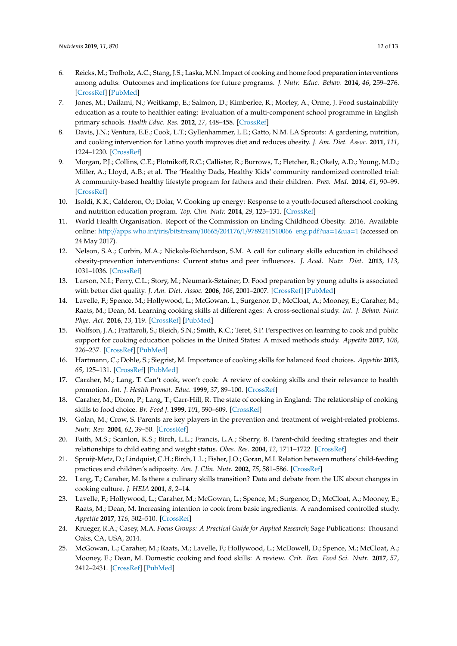- 6. Reicks, M.; Trofholz, A.C.; Stang, J.S.; Laska, M.N. Impact of cooking and home food preparation interventions among adults: Outcomes and implications for future programs. *J. Nutr. Educ. Behav.* **2014**, *46*, 259–276. [\[CrossRef\]](http://dx.doi.org/10.1016/j.jneb.2014.02.001) [\[PubMed\]](http://www.ncbi.nlm.nih.gov/pubmed/24703245)
- <span id="page-12-0"></span>7. Jones, M.; Dailami, N.; Weitkamp, E.; Salmon, D.; Kimberlee, R.; Morley, A.; Orme, J. Food sustainability education as a route to healthier eating: Evaluation of a multi-component school programme in English primary schools. *Health Educ. Res.* **2012**, *27*, 448–458. [\[CrossRef\]](http://dx.doi.org/10.1093/her/cys016)
- <span id="page-12-1"></span>8. Davis, J.N.; Ventura, E.E.; Cook, L.T.; Gyllenhammer, L.E.; Gatto, N.M. LA Sprouts: A gardening, nutrition, and cooking intervention for Latino youth improves diet and reduces obesity. *J. Am. Diet. Assoc.* **2011**, *111*, 1224–1230. [\[CrossRef\]](http://dx.doi.org/10.1016/j.jada.2011.05.009)
- 9. Morgan, P.J.; Collins, C.E.; Plotnikoff, R.C.; Callister, R.; Burrows, T.; Fletcher, R.; Okely, A.D.; Young, M.D.; Miller, A.; Lloyd, A.B.; et al. The 'Healthy Dads, Healthy Kids' community randomized controlled trial: A community-based healthy lifestyle program for fathers and their children. *Prev. Med.* **2014**, *61*, 90–99. [\[CrossRef\]](http://dx.doi.org/10.1016/j.ypmed.2013.12.019)
- <span id="page-12-2"></span>10. Isoldi, K.K.; Calderon, O.; Dolar, V. Cooking up energy: Response to a youth-focused afterschool cooking and nutrition education program. *Top. Clin. Nutr.* **2014**, *29*, 123–131. [\[CrossRef\]](http://dx.doi.org/10.1097/01.TIN.0000445896.52276.0e)
- <span id="page-12-3"></span>11. World Health Organisation. Report of the Commission on Ending Childhood Obesity. 2016. Available online: http://apps.who.int/iris/bitstream/10665/204176/1/[9789241510066\\_eng.pdf?ua](http://apps.who.int/iris/bitstream/10665/204176/1/9789241510066_eng.pdf?ua=1&ua=1)=1&ua=1 (accessed on 24 May 2017).
- <span id="page-12-4"></span>12. Nelson, S.A.; Corbin, M.A.; Nickols-Richardson, S.M. A call for culinary skills education in childhood obesity-prevention interventions: Current status and peer influences. *J. Acad. Nutr. Diet.* **2013**, *113*, 1031–1036. [\[CrossRef\]](http://dx.doi.org/10.1016/j.jand.2013.05.002)
- <span id="page-12-5"></span>13. Larson, N.I.; Perry, C.L.; Story, M.; Neumark-Sztainer, D. Food preparation by young adults is associated with better diet quality. *J. Am. Diet. Assoc.* **2006**, *106*, 2001–2007. [\[CrossRef\]](http://dx.doi.org/10.1016/j.jada.2006.09.008) [\[PubMed\]](http://www.ncbi.nlm.nih.gov/pubmed/17126631)
- <span id="page-12-6"></span>14. Lavelle, F.; Spence, M.; Hollywood, L.; McGowan, L.; Surgenor, D.; McCloat, A.; Mooney, E.; Caraher, M.; Raats, M.; Dean, M. Learning cooking skills at different ages: A cross-sectional study. *Int. J. Behav. Nutr. Phys. Act.* **2016**, *13*, 119. [\[CrossRef\]](http://dx.doi.org/10.1186/s12966-016-0446-y) [\[PubMed\]](http://www.ncbi.nlm.nih.gov/pubmed/27842556)
- <span id="page-12-15"></span>15. Wolfson, J.A.; Frattaroli, S.; Bleich, S.N.; Smith, K.C.; Teret, S.P. Perspectives on learning to cook and public support for cooking education policies in the United States: A mixed methods study. *Appetite* **2017**, *108*, 226–237. [\[CrossRef\]](http://dx.doi.org/10.1016/j.appet.2016.10.004) [\[PubMed\]](http://www.ncbi.nlm.nih.gov/pubmed/27720707)
- 16. Hartmann, C.; Dohle, S.; Siegrist, M. Importance of cooking skills for balanced food choices. *Appetite* **2013**, *65*, 125–131. [\[CrossRef\]](http://dx.doi.org/10.1016/j.appet.2013.01.016) [\[PubMed\]](http://www.ncbi.nlm.nih.gov/pubmed/23402717)
- <span id="page-12-7"></span>17. Caraher, M.; Lang, T. Can't cook, won't cook: A review of cooking skills and their relevance to health promotion. *Int. J. Health Promot. Educ.* **1999**, *37*, 89–100. [\[CrossRef\]](http://dx.doi.org/10.1080/14635240.1999.10806104)
- <span id="page-12-8"></span>18. Caraher, M.; Dixon, P.; Lang, T.; Carr-Hill, R. The state of cooking in England: The relationship of cooking skills to food choice. *Br. Food J.* **1999**, *101*, 590–609. [\[CrossRef\]](http://dx.doi.org/10.1108/00070709910288289)
- <span id="page-12-9"></span>19. Golan, M.; Crow, S. Parents are key players in the prevention and treatment of weight-related problems. *Nutr. Rev.* **2004**, *62*, 39–50. [\[CrossRef\]](http://dx.doi.org/10.1111/j.1753-4887.2004.tb00005.x)
- 20. Faith, M.S.; Scanlon, K.S.; Birch, L.L.; Francis, L.A.; Sherry, B. Parent-child feeding strategies and their relationships to child eating and weight status. *Obes. Res.* **2004**, *12*, 1711–1722. [\[CrossRef\]](http://dx.doi.org/10.1038/oby.2004.212)
- <span id="page-12-10"></span>21. Spruijt-Metz, D.; Lindquist, C.H.; Birch, L.L.; Fisher, J.O.; Goran, M.I. Relation between mothers' child-feeding practices and children's adiposity. *Am. J. Clin. Nutr.* **2002**, *75*, 581–586. [\[CrossRef\]](http://dx.doi.org/10.1093/ajcn/75.3.581)
- <span id="page-12-11"></span>22. Lang, T.; Caraher, M. Is there a culinary skills transition? Data and debate from the UK about changes in cooking culture. *J. HEIA* **2001**, *8*, 2–14.
- <span id="page-12-12"></span>23. Lavelle, F.; Hollywood, L.; Caraher, M.; McGowan, L.; Spence, M.; Surgenor, D.; McCloat, A.; Mooney, E.; Raats, M.; Dean, M. Increasing intention to cook from basic ingredients: A randomised controlled study. *Appetite* **2017**, *116*, 502–510. [\[CrossRef\]](http://dx.doi.org/10.1016/j.appet.2017.05.024)
- <span id="page-12-13"></span>24. Krueger, R.A.; Casey, M.A. *Focus Groups: A Practical Guide for Applied Research*; Sage Publications: Thousand Oaks, CA, USA, 2014.
- <span id="page-12-14"></span>25. McGowan, L.; Caraher, M.; Raats, M.; Lavelle, F.; Hollywood, L.; McDowell, D.; Spence, M.; McCloat, A.; Mooney, E.; Dean, M. Domestic cooking and food skills: A review. *Crit. Rev. Food Sci. Nutr.* **2017**, *57*, 2412–2431. [\[CrossRef\]](http://dx.doi.org/10.1080/10408398.2015.1072495) [\[PubMed\]](http://www.ncbi.nlm.nih.gov/pubmed/26618407)